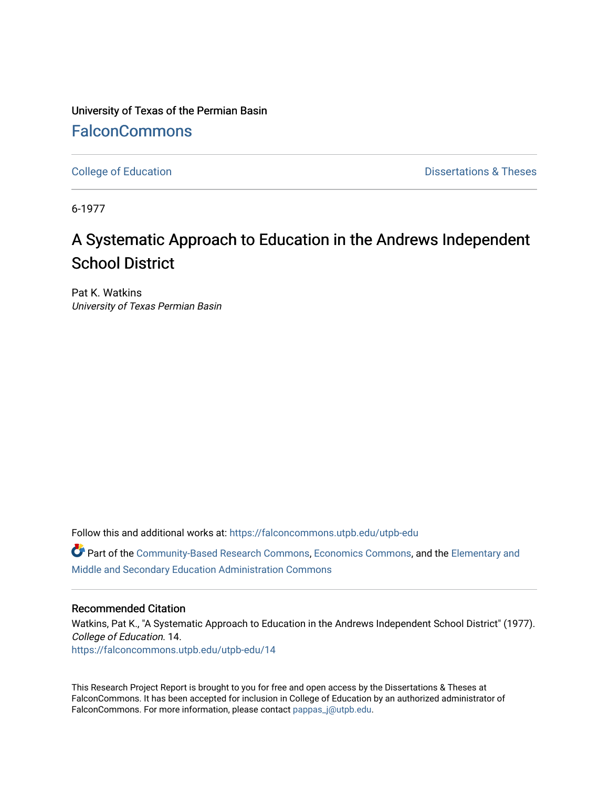University of Texas of the Permian Basin **[FalconCommons](https://falconcommons.utpb.edu/)** 

[College of Education](https://falconcommons.utpb.edu/utpb-edu) **Dissertations & Theses** 

6-1977

# A Systematic Approach to Education in the Andrews Independent School District

Pat K. Watkins University of Texas Permian Basin

Follow this and additional works at: [https://falconcommons.utpb.edu/utpb-edu](https://falconcommons.utpb.edu/utpb-edu?utm_source=falconcommons.utpb.edu%2Futpb-edu%2F14&utm_medium=PDF&utm_campaign=PDFCoverPages) 

Part of the [Community-Based Research Commons](http://network.bepress.com/hgg/discipline/1047?utm_source=falconcommons.utpb.edu%2Futpb-edu%2F14&utm_medium=PDF&utm_campaign=PDFCoverPages), [Economics Commons,](http://network.bepress.com/hgg/discipline/340?utm_source=falconcommons.utpb.edu%2Futpb-edu%2F14&utm_medium=PDF&utm_campaign=PDFCoverPages) and the [Elementary and](http://network.bepress.com/hgg/discipline/790?utm_source=falconcommons.utpb.edu%2Futpb-edu%2F14&utm_medium=PDF&utm_campaign=PDFCoverPages)  [Middle and Secondary Education Administration Commons](http://network.bepress.com/hgg/discipline/790?utm_source=falconcommons.utpb.edu%2Futpb-edu%2F14&utm_medium=PDF&utm_campaign=PDFCoverPages) 

### Recommended Citation

Watkins, Pat K., "A Systematic Approach to Education in the Andrews Independent School District" (1977). College of Education. 14. [https://falconcommons.utpb.edu/utpb-edu/14](https://falconcommons.utpb.edu/utpb-edu/14?utm_source=falconcommons.utpb.edu%2Futpb-edu%2F14&utm_medium=PDF&utm_campaign=PDFCoverPages)

This Research Project Report is brought to you for free and open access by the Dissertations & Theses at FalconCommons. It has been accepted for inclusion in College of Education by an authorized administrator of FalconCommons. For more information, please contact [pappas\\_j@utpb.edu.](mailto:pappas_j@utpb.edu)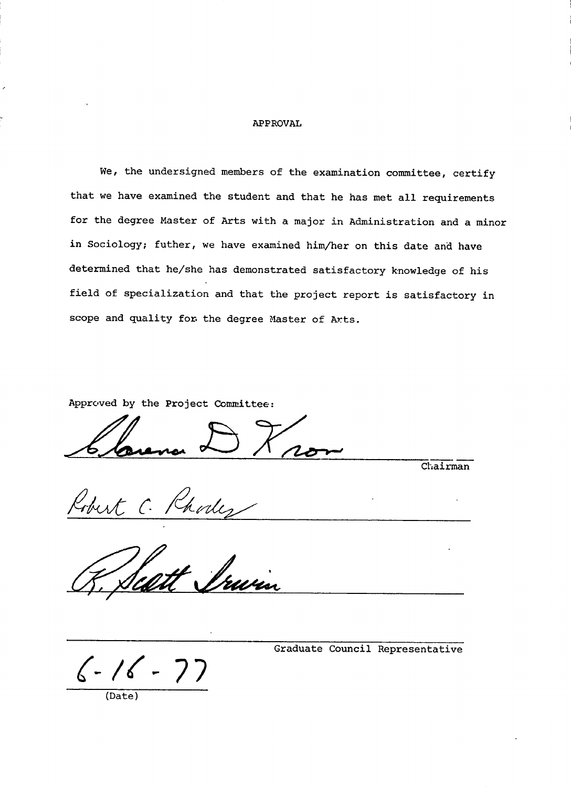#### **APPROVAL**

**We, the undersigned members of the examination committee, certify that we have examined the student and that he has met all requirements for the degree Master of Arts with a major in Administration and a minor in Sociology; futher, we have examined him/her on this date and have determined that he/she has demonstrated satisfactory knowledge of his field of specialization and that the project report is satisfactory in scope and quality for. the degree Master of Arts.**

**Approved by the Project Committee:**

**Chairman**

**(Date)**

**Graduate Council Representative**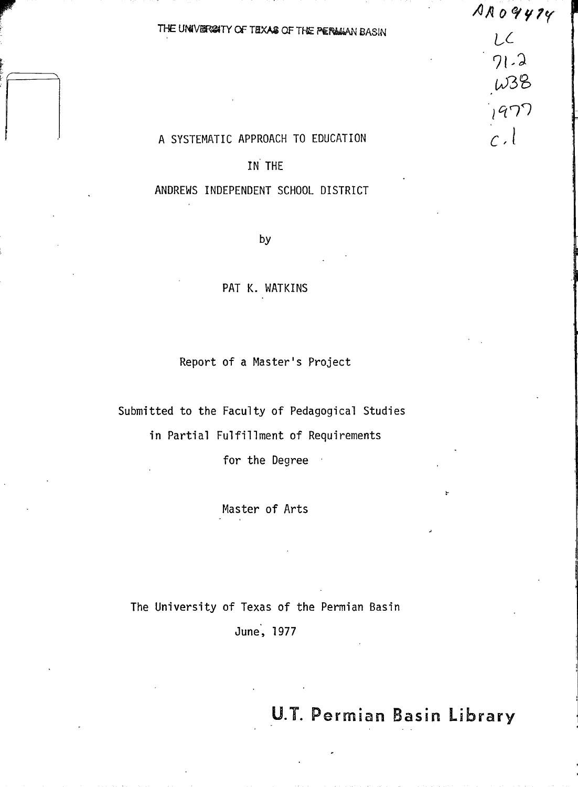$A \wedge 09474$ 

 $L<sup>2</sup>$ 

 $71.2$ 

 $\omega$ 38

1977

 $c.1$ 

### THE UNIVERSATY OF TEXAS OF THE PERMIAN BASIN

### A SYSTEMATIC APPROACH TO EDUCATION

## IN THE

### ANDREWS INDEPENDENT SCHOOL DISTRICT

by

### PAT K. WATKINS

Report of a Master's Project

Submitted to the Faculty of Pedagogical Studies

in Partial Fulfillment of Requirements

for the Degree  $\sim$ 

Master of Arts

The University of Texas of the Permian Basin

June, 1977

**U.T. Permian Basin Library**